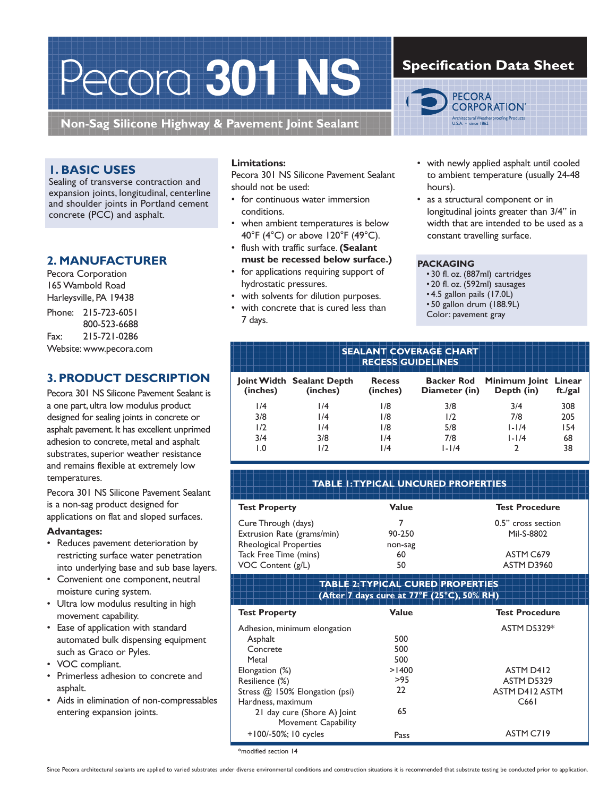# Pecora **301 NS**

**Non-Sag Silicone Highway & Pavement Joint Sealant**

## **1. BASIC USES**

Sealing of transverse contraction and expansion joints, longitudinal, centerline and shoulder joints in Portland cement concrete (PCC) and asphalt.

## **2. MANUFACTURER**

Pecora Corporation 165 Wambold Road Harleysville, PA 19438 Phone: 215-723-6051 800-523-6688 Fax: 215-721-0286 Website: www.pecora.com

## **3. PRODUCT DESCRIPTION**

Pecora 301 NS Silicone Pavement Sealant is a one part, ultra low modulus product designed for sealing joints in concrete or asphalt pavement. It has excellent unprimed adhesion to concrete, metal and asphalt substrates, superior weather resistance and remains flexible at extremely low temperatures.

Pecora 301 NS Silicone Pavement Sealant is a non-sag product designed for applications on flat and sloped surfaces.

#### **Advantages:**

- Reduces pavement deterioration by restricting surface water penetration into underlying base and sub base layers.
- Convenient one component, neutral moisture curing system.
- Ultra low modulus resulting in high movement capability.
- Ease of application with standard automated bulk dispensing equipment such as Graco or Pyles.
- VOC compliant.
- Primerless adhesion to concrete and asphalt.
- Aids in elimination of non-compressables entering expansion joints.

## **Limitations:**

Pecora 301 NS Silicone Pavement Sealant should not be used:

- for continuous water immersion conditions.
- when ambient temperatures is below 40°F (4°C) or above 120°F (49°C).
- flush with traffic surface. **(Sealant must be recessed below surface.)**
- for applications requiring support of hydrostatic pressures.
- with solvents for dilution purposes.
- with concrete that is cured less than 7 days.

# **Specification Data Sheet**



- with newly applied asphalt until cooled to ambient temperature (usually 24-48 hours).
- as a structural component or in longitudinal joints greater than 3/4" in width that are intended to be used as a constant travelling surface.

#### **PACKAGING**

- 30 fl. oz. (887ml) cartridges
- 20 fl. oz. (592ml) sausages
- 4.5 gallon pails (17.0L)
- 50 gallon drum (188.9L)
- Color: pavement gray

#### **SEALANT COVERAGE CHART RECESS GUIDELINES**

| (inches) | Joint Width Sealant Depth<br>(inches) | <b>Recess</b><br>(inches) | Diameter (in) | Backer Rod Minimum Joint Linear<br>Depth (in) | ft./gal |
|----------|---------------------------------------|---------------------------|---------------|-----------------------------------------------|---------|
| 1/4      | 1/4                                   | 1/8                       | 3/8           | 3/4                                           | 308     |
| 3/8      | 1/4                                   | 1/8                       | 1/2           | 7/8                                           | 205     |
| 1/2      | 1/4                                   | 1/8                       | 5/8           | $1 - 1/4$                                     | 154     |
| 3/4      | 3/8                                   | 1/4                       | 7/8           | $1 - 1/4$                                     | 68      |
| 0. ا     | 1/2                                   | 1/4                       | $1 - 1/4$     |                                               | 38      |

| <b>TABLE I: TYPICAL UNCURED PROPERTIES</b>                           |                     |                                  |  |  |  |
|----------------------------------------------------------------------|---------------------|----------------------------------|--|--|--|
| <b>Test Property</b>                                                 | Value               | <b>Test Procedure</b>            |  |  |  |
| Cure Through (days)<br>Extrusion Rate (grams/min)                    | 90-250              | 0.5" cross section<br>Mil-S-8802 |  |  |  |
| Rheological Properties<br>Tack Free Time (mins)<br>VOC Content (g/L) | non-sag<br>60<br>50 | ASTM C679<br>ASTM D3960          |  |  |  |

#### **TABLE 2: TYPICAL CURED PROPERTIES (After 7 days cure at 77°F (25°C), 50% RH)**

| <b>ASTM D5329*</b><br>Adhesion, minimum elongation     |  |
|--------------------------------------------------------|--|
| 500<br>Asphalt                                         |  |
| 500<br>Concrete                                        |  |
| 500<br>Metal                                           |  |
| >1400<br>ASTM D412<br>Elongation (%)                   |  |
| >95<br>Resilience (%)<br>ASTM D5329                    |  |
| 22<br>ASTM D412 ASTM<br>Stress @ 150% Elongation (psi) |  |
| Hardness, maximum<br>C661                              |  |
| 65<br>21 day cure (Shore A) Joint                      |  |
| Movement Capability                                    |  |
| ASTM C719<br>$+100/-50\%; 10 cycles$<br>Pass           |  |

\*modified section 14